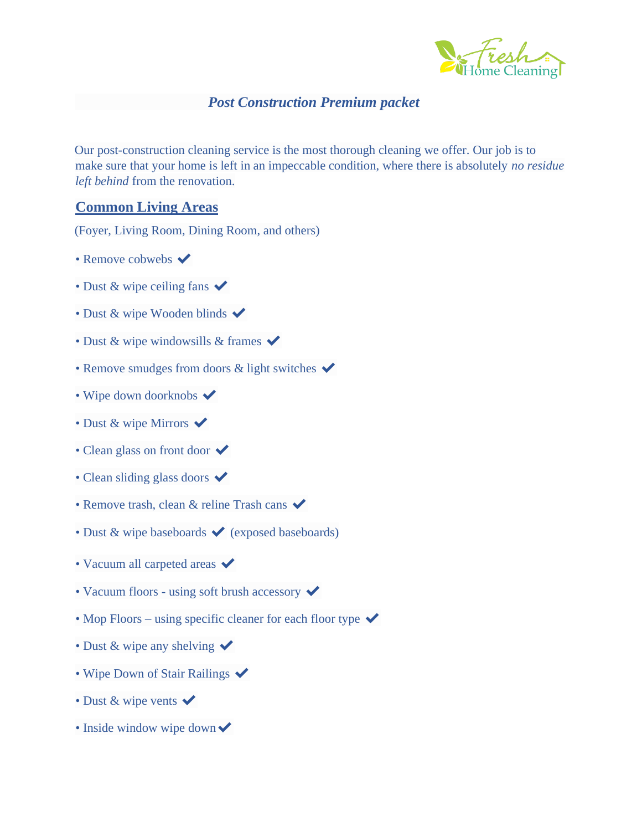

## *Post Construction Premium packet*

Our post-construction cleaning service is the most thorough cleaning we offer. Our job is to make sure that your home is left in an impeccable condition, where there is absolutely *no residue left behind* from the renovation.

### **Common Living Areas**

(Foyer, Living Room, Dining Room, and others)

- Remove cobwebs  $\blacktriangledown$
- Dust & wipe ceiling fans  $\checkmark$
- Dust & wipe Wooden blinds  $\checkmark$
- Dust & wipe windowsills & frames  $\blacktriangleright$
- Remove smudges from doors  $&$  light switches  $\checkmark$
- Wipe down doorknobs  $\blacktriangleright$
- Dust & wipe Mirrors  $\checkmark$
- Clean glass on front door  $\checkmark$
- Clean sliding glass doors  $\checkmark$
- Remove trash, clean & reline Trash cans  $\checkmark$
- Dust  $\&$  wipe baseboards  $\bigvee$  (exposed baseboards)
- Vacuum all carpeted areas  $\checkmark$
- Vacuum floors using soft brush accessory  $\checkmark$
- Mop Floors using specific cleaner for each floor type  $\checkmark$
- Dust & wipe any shelving  $\checkmark$
- Wipe Down of Stair Railings  $\blacktriangleright$
- Dust & wipe vents  $\blacktriangleright$
- Inside window wipe down  $\checkmark$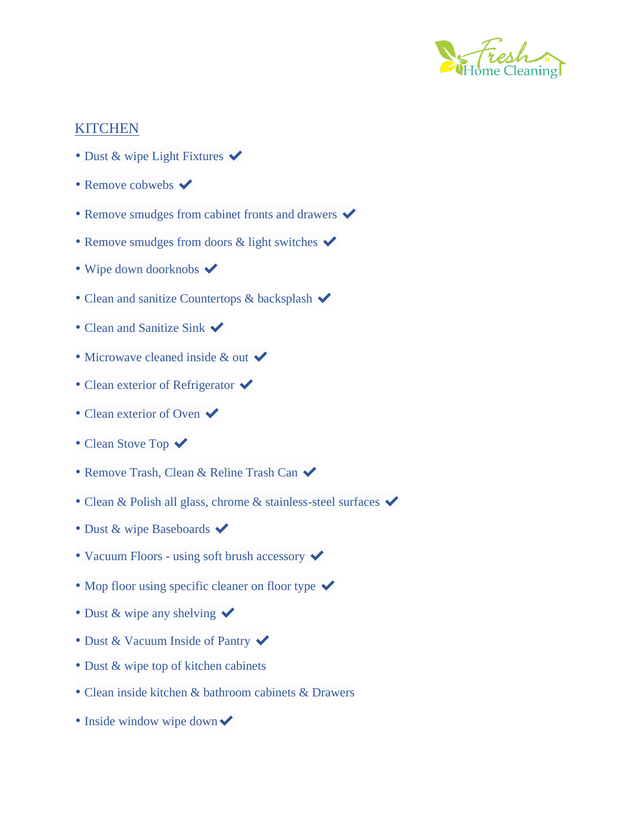

## **KITCHEN**

- Dust & wipe Light Fixtures  $\checkmark$
- Remove cobwebs  $\blacktriangleright$
- Remove smudges from cabinet fronts and drawers  $\blacktriangledown$
- Remove smudges from doors  $\&$  light switches  $\checkmark$
- Wipe down doorknobs  $\blacktriangledown$
- Clean and sanitize Countertops & backsplash  $\checkmark$
- Clean and Sanitize Sink  $\checkmark$
- Microwave cleaned inside  $&$  out  $\blacktriangledown$
- Clean exterior of Refrigerator  $\checkmark$
- Clean exterior of Oven  $\checkmark$
- Clean Stove Top  $\checkmark$
- Remove Trash, Clean & Reline Trash Can  $\checkmark$
- Clean & Polish all glass, chrome & stainless-steel surfaces  $\checkmark$
- Dust & wipe Baseboards  $\blacktriangledown$
- Vacuum Floors using soft brush accessory  $\checkmark$
- Mop floor using specific cleaner on floor type  $\checkmark$
- Dust & wipe any shelving  $\checkmark$
- Dust & Vacuum Inside of Pantry  $\checkmark$
- Dust & wipe top of kitchen cabinets
- Clean inside kitchen & bathroom cabinets & Drawers
- Inside window wipe down  $\checkmark$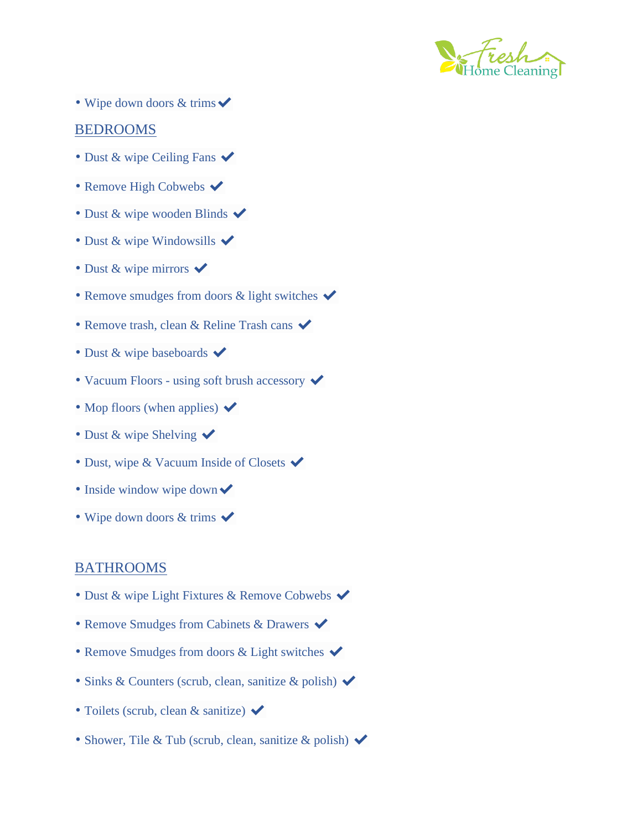

• Wipe down doors  $&$  trims  $\blacktriangleright$ 

#### BEDROOMS

- Dust & wipe Ceiling Fans  $\checkmark$
- Remove High Cobwebs  $\blacktriangledown$
- Dust & wipe wooden Blinds  $\blacktriangleright$
- Dust & wipe Windowsills  $\checkmark$
- Dust & wipe mirrors  $\checkmark$
- Remove smudges from doors & light switches  $\checkmark$
- Remove trash, clean & Reline Trash cans  $\checkmark$
- Dust & wipe baseboards  $\blacktriangleright$
- Vacuum Floors using soft brush accessory  $\checkmark$
- Mop floors (when applies)  $\blacktriangleright$
- Dust & wipe Shelving  $\checkmark$
- Dust, wipe & Vacuum Inside of Closets  $\checkmark$
- Inside window wipe down  $\checkmark$
- Wipe down doors  $&$  trims  $\blacktriangleright$

#### BATHROOMS

- Dust & wipe Light Fixtures & Remove Cobwebs  $\blacktriangledown$
- Remove Smudges from Cabinets & Drawers  $\checkmark$
- Remove Smudges from doors & Light switches  $\checkmark$
- Sinks & Counters (scrub, clean, sanitize & polish) ✔
- Toilets (scrub, clean & sanitize)  $\checkmark$
- Shower, Tile & Tub (scrub, clean, sanitize & polish)  $\checkmark$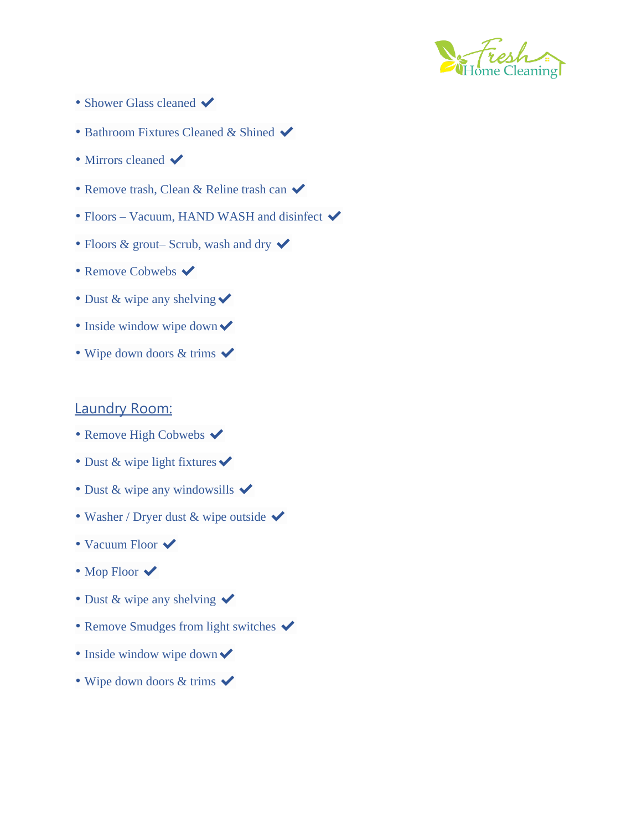

- Shower Glass cleaned  $\blacktriangledown$
- Bathroom Fixtures Cleaned & Shined  $\blacktriangledown$
- Mirrors cleaned  $\blacktriangleright$
- Remove trash, Clean & Reline trash can  $\checkmark$
- Floors Vacuum, HAND WASH and disinfect  $\blacktriangledown$
- Floors & grout– Scrub, wash and dry  $\checkmark$
- Remove Cobwebs  $\blacktriangleright$
- Dust & wipe any shelving  $\checkmark$
- Inside window wipe down  $\blacktriangleright$
- Wipe down doors  $&$  trims  $\blacktriangledown$

### Laundry Room:

- Remove High Cobwebs  $\blacktriangledown$
- Dust & wipe light fixtures  $\checkmark$
- Dust & wipe any windowsills  $\checkmark$
- Washer / Dryer dust & wipe outside  $\checkmark$
- Vacuum Floor  $\checkmark$
- Mop Floor  $\checkmark$
- Dust & wipe any shelving  $\checkmark$
- Remove Smudges from light switches  $\checkmark$
- Inside window wipe down  $\checkmark$
- Wipe down doors  $&$  trims  $\blacktriangledown$